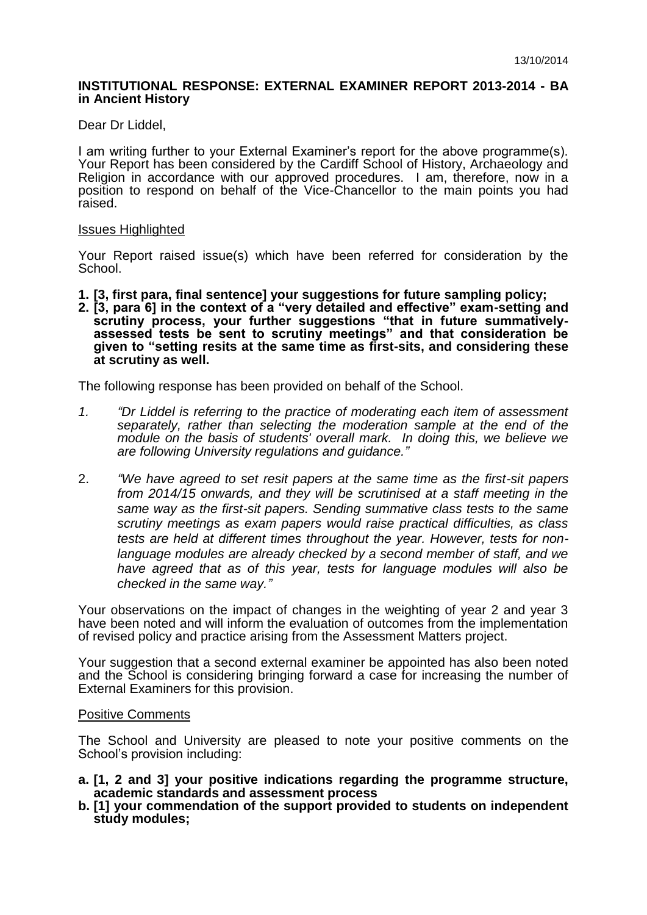## **INSTITUTIONAL RESPONSE: EXTERNAL EXAMINER REPORT 2013-2014 - BA in Ancient History**

Dear Dr Liddel,

I am writing further to your External Examiner's report for the above programme(s). Your Report has been considered by the Cardiff School of History, Archaeology and Religion in accordance with our approved procedures. I am, therefore, now in a position to respond on behalf of the Vice-Chancellor to the main points you had raised.

## Issues Highlighted

Your Report raised issue(s) which have been referred for consideration by the School.

- **1. [3, first para, final sentence] your suggestions for future sampling policy;**
- **2. [3, para 6] in the context of a "very detailed and effective" exam-setting and scrutiny process, your further suggestions "that in future summativelyassessed tests be sent to scrutiny meetings" and that consideration be given to "setting resits at the same time as first-sits, and considering these at scrutiny as well.**

The following response has been provided on behalf of the School.

- *1. "Dr Liddel is referring to the practice of moderating each item of assessment separately, rather than selecting the moderation sample at the end of the module on the basis of students' overall mark. In doing this, we believe we are following University regulations and guidance."*
- 2. *"We have agreed to set resit papers at the same time as the first-sit papers from 2014/15 onwards, and they will be scrutinised at a staff meeting in the same way as the first-sit papers. Sending summative class tests to the same scrutiny meetings as exam papers would raise practical difficulties, as class tests are held at different times throughout the year. However, tests for nonlanguage modules are already checked by a second member of staff, and we have agreed that as of this year, tests for language modules will also be checked in the same way."*

Your observations on the impact of changes in the weighting of year 2 and year 3 have been noted and will inform the evaluation of outcomes from the implementation of revised policy and practice arising from the Assessment Matters project.

Your suggestion that a second external examiner be appointed has also been noted and the School is considering bringing forward a case for increasing the number of External Examiners for this provision.

## Positive Comments

The School and University are pleased to note your positive comments on the School's provision including:

- **a. [1, 2 and 3] your positive indications regarding the programme structure, academic standards and assessment process**
- **b. [1] your commendation of the support provided to students on independent study modules;**